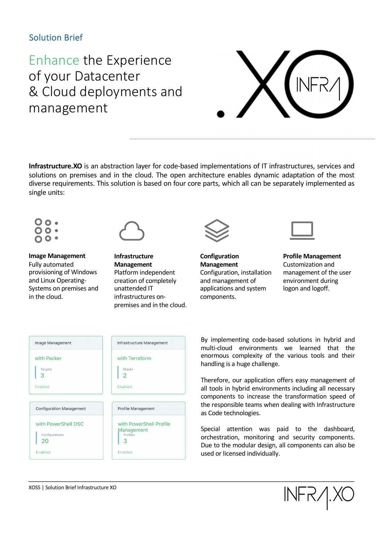### Solution Brief

# Enhance the Experience of your Datacenter & Cloud deployments and management



**Infrastructure.XO** is an abstraction layer for code-based implementations of IT infrastructures, services and solutions on premises and in the cloud. The open architecture enables dynamic adaptation of the most diverse requirements. This solution is based on four core parts, which all can be separately implemented as single units:



**Image Management** Fully automated provisioning of Windows and Linux Operating-Systems on premises and in the cloud.





**Configuration Management** Configuration, installation and management of applications and system components.



**Profile Management** Customization and management of the user environment during logon and logoff.

| Image Management                                 | Infrastructure Management                                    |
|--------------------------------------------------|--------------------------------------------------------------|
| with Packer<br>Targets<br>З<br>Enabled           | with Terraform<br><b>Stacks</b><br>2<br>Enabled              |
| <b>Configuration Management</b>                  | Profile Management                                           |
| with PowerShell DSC<br>Configurations<br>Enabled | with PowerShell Profile<br>Management<br>Profiles<br>Enabled |

By implementing code-based solutions in hybrid and multi-cloud environments we learned that the enormous complexity of the various tools and their handling is a huge challenge.

Therefore, our application offers easy management of all tools in hybrid environments including all necessary components to increase the transformation speed of the responsible teams when dealing with Infrastructure as Code technologies.

Special attention was paid to the dashboard, orchestration, monitoring and security components. Due to the modular design, all components can also be used or licensed individually.